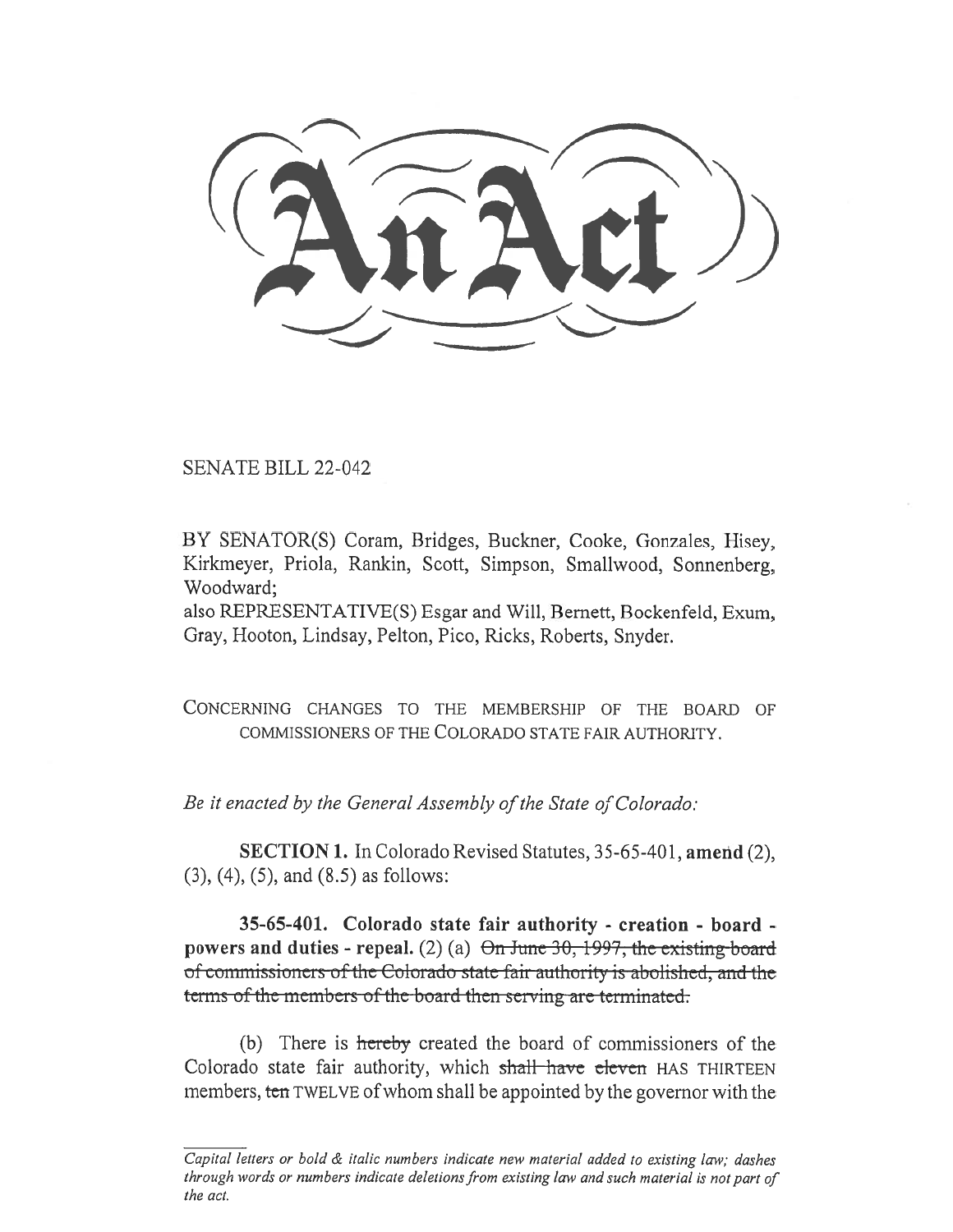SENATE BILL 22-042

BY SENATOR(S) Coram, Bridges, Buckner, Cooke, Gonzales, Hisey, Kirkmeyer, Priola, Rankin, Scott, Simpson, Smallwood, Sonnenberg, Woodward;

also REPRESENTATIVE(S) Esgar and Will, Bernett, Bockenfeld, Exum, Gray, Hooton, Lindsay, Pelton, Pico, Ricks, Roberts, Snyder.

CONCERNING CHANGES TO THE MEMBERSHIP OF THE BOARD OF COMMISSIONERS OF THE COLORADO STATE FAIR AUTHORITY.

Be it enacted by the General Assembly of the State of Colorado:

SECTION 1. In Colorado Revised Statutes, 35-65-401, amend (2), (3), (4), (5), and (8.5) as follows:

35-65-401. Colorado state fair authority - creation - board powers and duties - repeal. (2) (a)  $\Theta$ n June 30, 1997, the existing-board of conunissioncrs of the Colorado statc fair authority is abolished, and the terms of the members of the-board then serving are terminated.

(b) There is hereby created the board of commissioners of the Colorado state fair authority, which shall have eleven HAS THIRTEEN members, ten TWELVE of whom shall be appointed by the governor with the

Capital letters or bold & italic numbers indicate new material added to existing law; dashes through words or numbers indicate deletions from existing law and such material is not part of the act.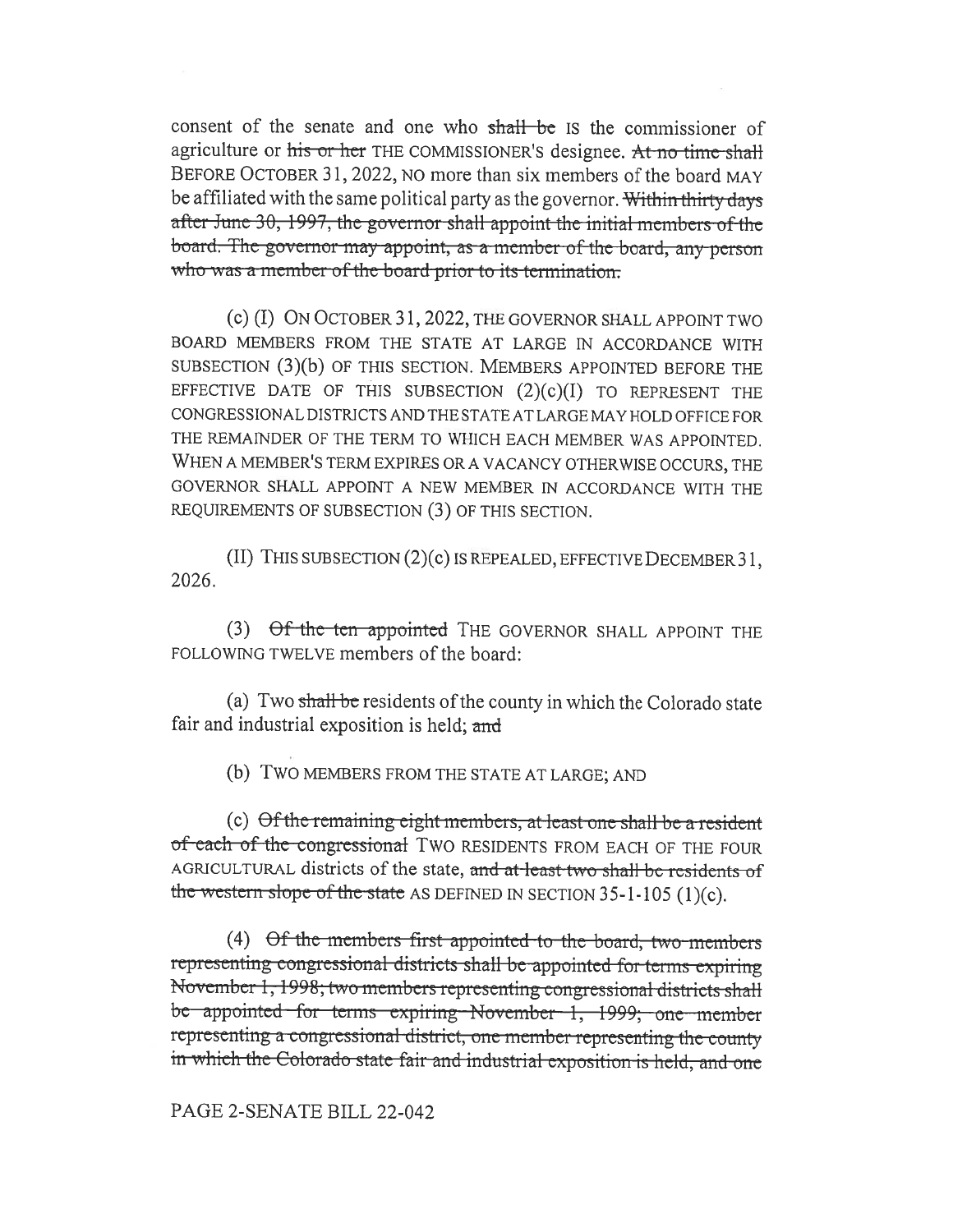consent of the senate and one who shall be IS the commissioner of agriculture or his or her THE COMMISSIONER's designee. At no time shall BEFORE OCTOBER 31, 2022, NO more than six members of the board MAY be affiliated with the same political party as the governor. Within thirty days after June 30, 1997, the governor shall appoint the initial members of the board. The governor may appoint, as a member of the board, any person who was a member of the board prior to its termination.

(c) (I) ON OCTOBER 31, 2022, THE GOVERNOR SHALL APPOINT TWO BOARD MEMBERS FROM THE STATE AT LARGE IN ACCORDANCE WITH SUBSECTION (3)(b) OF THIS SECTION. MEMBERS APPOINTED BEFORE THE EFFECTIVE DATE OF THIS SUBSECTION  $(2)(c)(I)$  TO REPRESENT THE CONGRESSIONAL DISTRICTS AND THE STATE AT LARGE MAY HOLD OFFICE FOR THE REMAINDER OF THE TERM TO WHICH EACH MEMBER WAS APPOINTED. WHEN A MEMBER'S TERM EXPIRES OR A VACANCY OTHERWISE OCCURS, THE GOVERNOR SHALL APPOINT A NEW MEMBER IN ACCORDANCE WITH THE REQUIREMENTS OF SUBSECTION (3) OF THIS SECTION.

 $(II)$  THIS SUBSECTION  $(2)(c)$  IS REPEALED, EFFECTIVE DECEMBER 31. 2026.

(3) Of the ten appointed THE GOVERNOR SHALL APPOINT THE FOLLOWING TWELVE members of the board:

(a) Two shall be residents of the county in which the Colorado state fair and industrial exposition is held; and

(b) TWO MEMBERS FROM THE STATE AT LARGE; AND

(c) Of the remaining eight members, at least one shall be a resident of each of the congressional TWO RESIDENTS FROM EACH OF THE FOUR AGRICULTURAL districts of the state, and at least two shall be residents of the western slope of the state AS DEFINED IN SECTION  $35-1-105$  (1)(c).

(4) Of the members first appointed to the board, two members representing congressional districts shall be appointed for terms expiring November 1, 1998; two members representing congressional districts shall be appointed for terms expiring November 1, 1999; one member representing a congressional district, one member representing the county in which the Colorado state fair and industrial exposition is held, and one

PAGE 2-SENATE BILL 22-042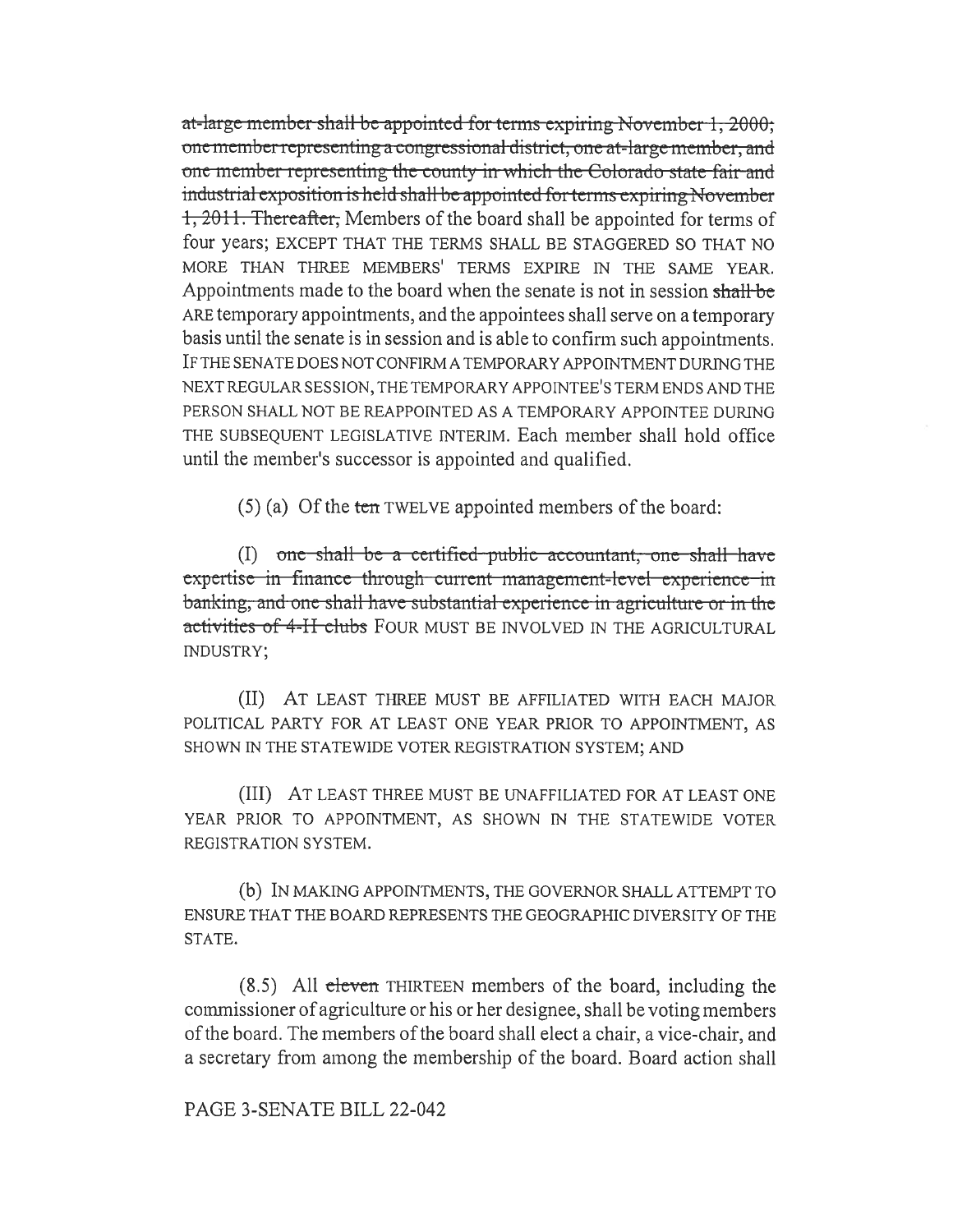at-large member shall be appointed for terms expiring November 1, 2000; one member representing a congressional district, one at-large member, and one member representing the county in which the Colorado state fair and industrial exposition is held shall be appointed for terms expiring November 1, 2011. Thereafter, Members of the board shall be appointed for terms of four years; EXCEPT THAT THE TERMS SHALL BE STAGGERED SO THAT NO MORE THAN THREE MEMBERS' TERMS EXPIRE IN THE SAME YEAR. Appointments made to the board when the senate is not in session shall be ARE temporary appointments, and the appointees shall serve on a temporary basis until the senate is in session and is able to confirm such appointments. IF THE SENATE DOES NOT CONFIRM A TEMPORARY APPOINTMENT DURING THE NEXT REGULAR SESSION, THE TEMPORARY APPOINTEE'S TERM ENDS AND THE PERSON SHALL NOT BE REAPPOINTED AS A TEMPORARY APPOINTEE DURING THE SUBSEQUENT LEGISLATIVE INTERIM. Each member shall hold office until the member's successor is appointed and qualified.

 $(5)$  (a) Of the ten TWELVE appointed members of the board:

(I) one shall be a certified public accountant, one shall have expertise in finance through current management-level experience in banking, and one shall have substantial experience in agriculture or in the activities of 4-II clubs FOUR MUST BE INVOLVED IN THE AGRICULTURAL **INDUSTRY;** 

(II) AT LEAST THREE MUST BE AFFILIATED WITH EACH MAJOR POLITICAL PARTY FOR AT LEAST ONE YEAR PRIOR TO APPOINTMENT, AS SHOWN IN THE STATEWIDE VOTER REGISTRATION SYSTEM; AND

(III) AT LEAST THREE MUST BE UNAFFILIATED FOR AT LEAST ONE YEAR PRIOR TO APPOINTMENT, AS SHOWN IN THE STATEWIDE VOTER REGISTRATION SYSTEM.

(b) IN MAKING APPOINTMENTS, THE GOVERNOR SHALL ATTEMPT TO ENSURE THAT THE BOARD REPRESENTS THE GEOGRAPHIC DIVERSITY OF THE STATE.

 $(8.5)$  All eleven THIRTEEN members of the board, including the commissioner of agriculture or his or her designee, shall be voting members of the board. The members of the board shall elect a chair, a vice-chair, and a secretary from among the membership of the board. Board action shall

PAGE 3-SENATE BILL 22-042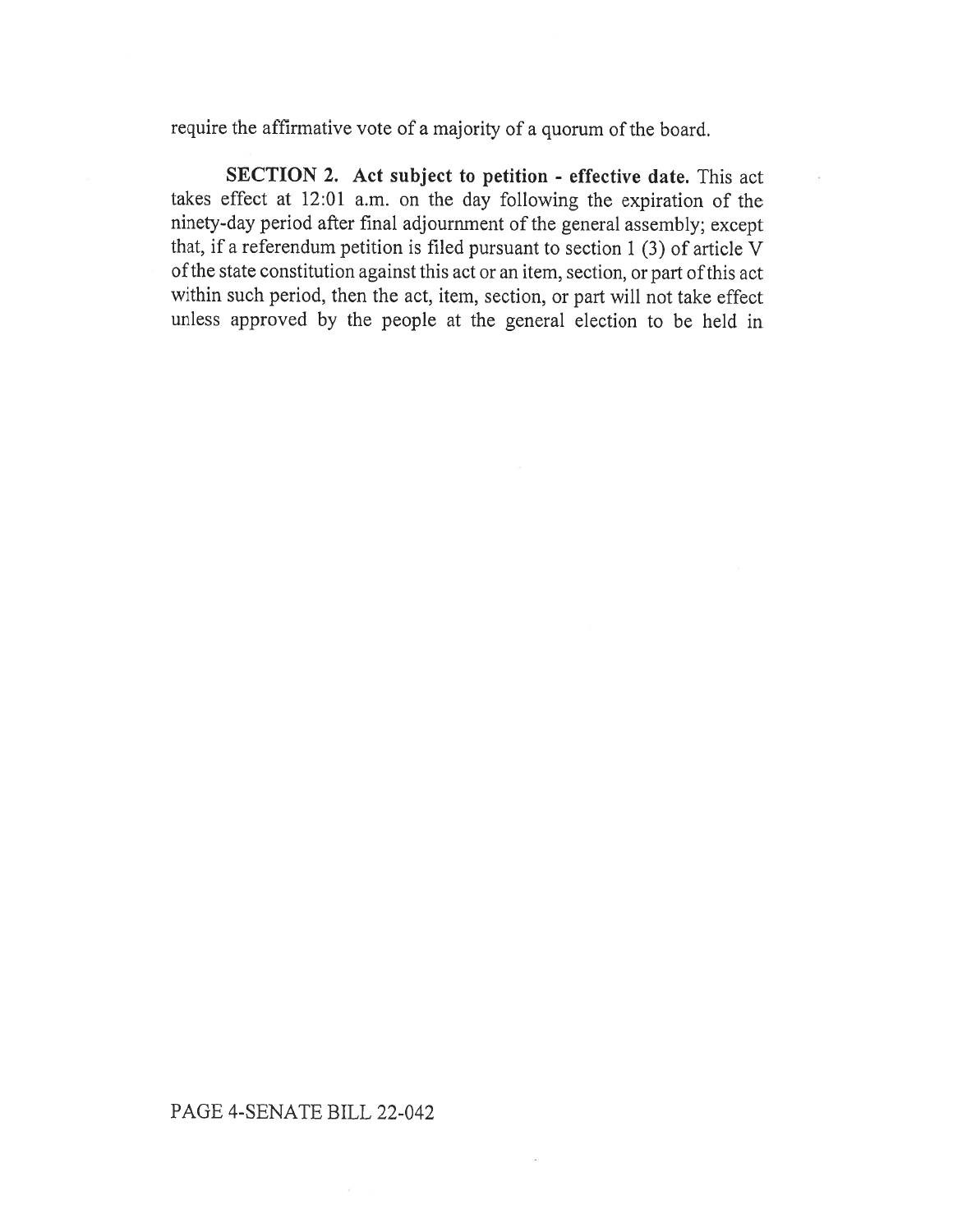require the affirmative vote of a majority of a quorum of the board.

SECTION 2. Act subject to petition - effective date. This act takes effect at 12:01 a.m. on the day following the expiration of the ninety-day period after final adjournment of the general assembly; except that, if a referendum petition is filed pursuant to section 1 (3) of article V of the state constitution against this act or an item, section, or part of this act within such period, then the act, item, section, or part will not take effect unless approved by the people at the general election to be held in